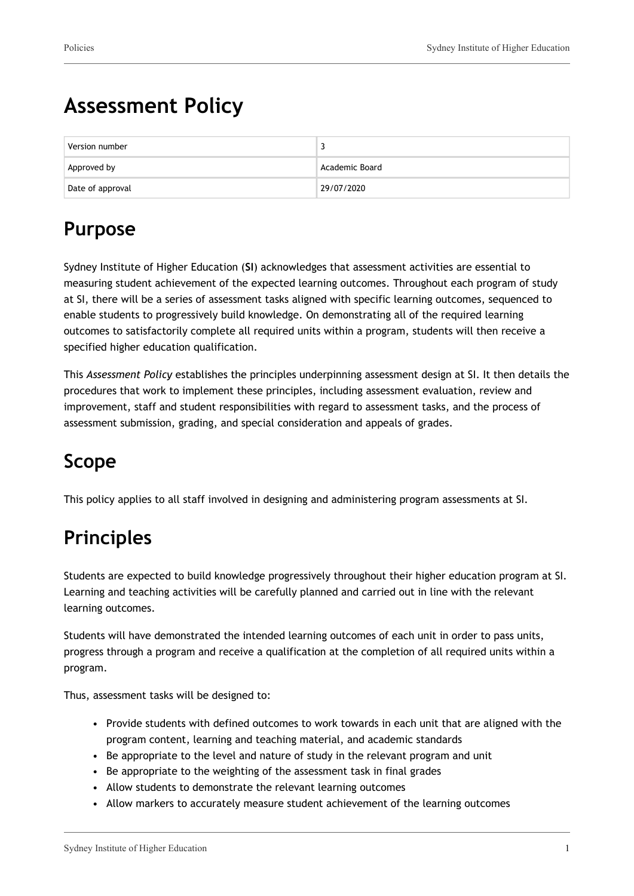# **Assessment Policy**

| Version number   |                |
|------------------|----------------|
| Approved by      | Academic Board |
| Date of approval | 29/07/2020     |

## **Purpose**

Sydney Institute of Higher Education (**SI**) acknowledges that assessment activities are essential to measuring student achievement of the expected learning outcomes. Throughout each program of study at SI, there will be a series of assessment tasks aligned with specific learning outcomes, sequenced to enable students to progressively build knowledge. On demonstrating all of the required learning outcomes to satisfactorily complete all required units within a program, students will then receive a specified higher education qualification.

This *Assessment Policy* establishes the principles underpinning assessment design at SI. It then details the procedures that work to implement these principles, including assessment evaluation, review and improvement, staff and student responsibilities with regard to assessment tasks, and the process of assessment submission, grading, and special consideration and appeals of grades.

## **Scope**

This policy applies to all staff involved in designing and administering program assessments at SI.

## **Principles**

Students are expected to build knowledge progressively throughout their higher education program at SI. Learning and teaching activities will be carefully planned and carried out in line with the relevant learning outcomes.

Students will have demonstrated the intended learning outcomes of each unit in order to pass units, progress through a program and receive a qualification at the completion of all required units within a program.

Thus, assessment tasks will be designed to:

- Provide students with defined outcomes to work towards in each unit that are aligned with the program content, learning and teaching material, and academic standards
- Be appropriate to the level and nature of study in the relevant program and unit
- Be appropriate to the weighting of the assessment task in final grades
- Allow students to demonstrate the relevant learning outcomes
- Allow markers to accurately measure student achievement of the learning outcomes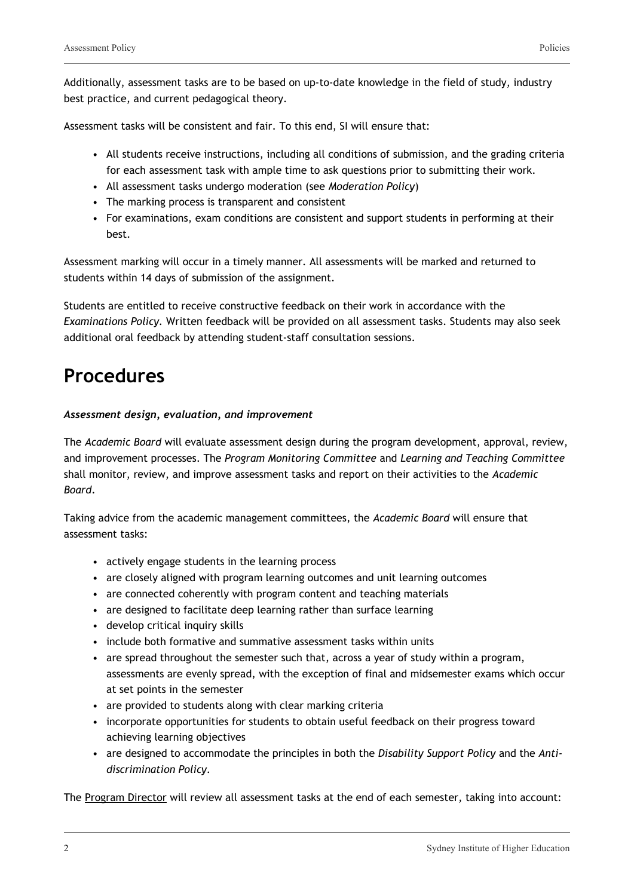Additionally, assessment tasks are to be based on up-to-date knowledge in the field of study, industry best practice, and current pedagogical theory.

Assessment tasks will be consistent and fair. To this end, SI will ensure that:

- All students receive instructions, including all conditions of submission, and the grading criteria for each assessment task with ample time to ask questions prior to submitting their work.
- All assessment tasks undergo moderation (see *Moderation Policy*)
- The marking process is transparent and consistent
- For examinations, exam conditions are consistent and support students in performing at their best.

Assessment marking will occur in a timely manner. All assessments will be marked and returned to students within 14 days of submission of the assignment.

Students are entitled to receive constructive feedback on their work in accordance with the *Examinations Policy.* Written feedback will be provided on all assessment tasks. Students may also seek additional oral feedback by attending student-staff consultation sessions.

## **Procedures**

#### *Assessment design, evaluation, and improvement*

The *Academic Board* will evaluate assessment design during the program development, approval, review, and improvement processes. The *Program Monitoring Committee* and *Learning and Teaching Committee* shall monitor, review, and improve assessment tasks and report on their activities to the *Academic Board*.

Taking advice from the academic management committees, the *Academic Board* will ensure that assessment tasks:

- actively engage students in the learning process
- are closely aligned with program learning outcomes and unit learning outcomes
- are connected coherently with program content and teaching materials
- are designed to facilitate deep learning rather than surface learning
- develop critical inquiry skills
- include both formative and summative assessment tasks within units
- are spread throughout the semester such that, across a year of study within a program, assessments are evenly spread, with the exception of final and midsemester exams which occur at set points in the semester
- are provided to students along with clear marking criteria
- incorporate opportunities for students to obtain useful feedback on their progress toward achieving learning objectives
- are designed to accommodate the principles in both the *Disability Support Policy* and the *Antidiscrimination Policy.*

The Program Director will review all assessment tasks at the end of each semester, taking into account: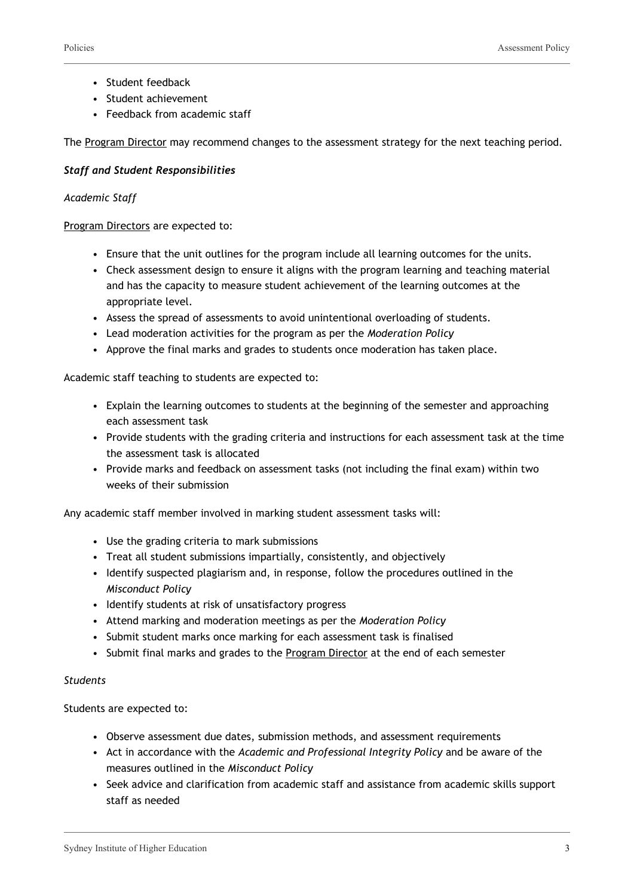- Student feedback
- Student achievement
- Feedback from academic staff

The Program Director may recommend changes to the assessment strategy for the next teaching period.

#### *Staff and Student Responsibilities*

#### *Academic Staff*

Program Directors are expected to:

- Ensure that the unit outlines for the program include all learning outcomes for the units.
- Check assessment design to ensure it aligns with the program learning and teaching material and has the capacity to measure student achievement of the learning outcomes at the appropriate level.
- Assess the spread of assessments to avoid unintentional overloading of students.
- Lead moderation activities for the program as per the *Moderation Policy*
- Approve the final marks and grades to students once moderation has taken place.

Academic staff teaching to students are expected to:

- Explain the learning outcomes to students at the beginning of the semester and approaching each assessment task
- Provide students with the grading criteria and instructions for each assessment task at the time the assessment task is allocated
- Provide marks and feedback on assessment tasks (not including the final exam) within two weeks of their submission

Any academic staff member involved in marking student assessment tasks will:

- Use the grading criteria to mark submissions
- Treat all student submissions impartially, consistently, and objectively
- Identify suspected plagiarism and, in response, follow the procedures outlined in the *Misconduct Policy*
- Identify students at risk of unsatisfactory progress
- Attend marking and moderation meetings as per the *Moderation Policy*
- Submit student marks once marking for each assessment task is finalised
- Submit final marks and grades to the Program Director at the end of each semester

#### *Students*

Students are expected to:

- Observe assessment due dates, submission methods, and assessment requirements
- Act in accordance with the *Academic and Professional Integrity Policy* and be aware of the measures outlined in the *Misconduct Policy*
- Seek advice and clarification from academic staff and assistance from academic skills support staff as needed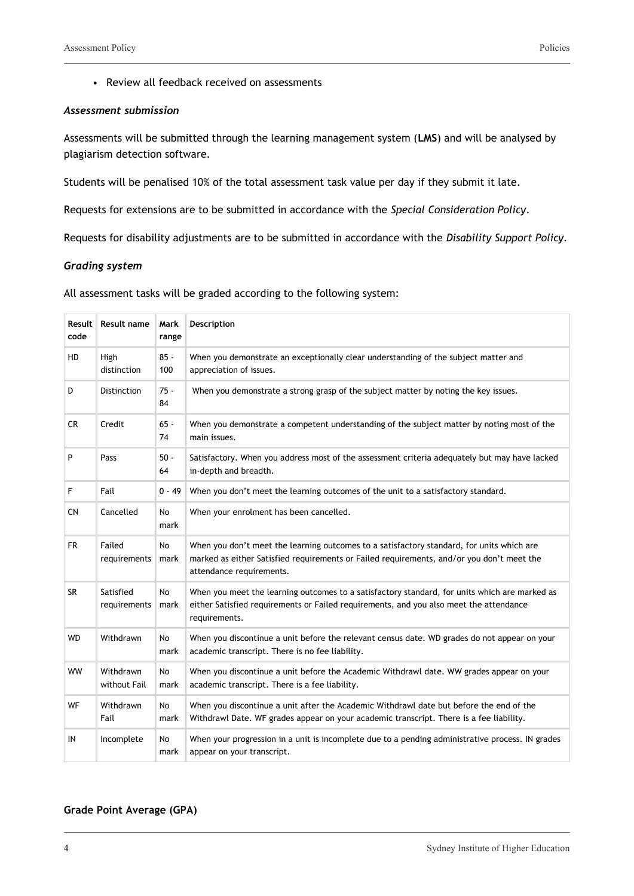• Review all feedback received on assessments

#### *Assessment submission*

Assessments will be submitted through the learning management system (**LMS**) and will be analysed by plagiarism detection software.

Students will be penalised 10% of the total assessment task value per day if they submit it late.

Requests for extensions are to be submitted in accordance with the *Special Consideration Policy*.

Requests for disability adjustments are to be submitted in accordance with the *Disability Support Policy.*

#### *Grading system*

| All assessment tasks will be graded according to the following system: |
|------------------------------------------------------------------------|
|------------------------------------------------------------------------|

| Result<br>code | <b>Result name</b>        | Mark<br>range     | Description                                                                                                                                                                                                        |
|----------------|---------------------------|-------------------|--------------------------------------------------------------------------------------------------------------------------------------------------------------------------------------------------------------------|
| HD             | High<br>distinction       | $85 -$<br>100     | When you demonstrate an exceptionally clear understanding of the subject matter and<br>appreciation of issues.                                                                                                     |
| D              | <b>Distinction</b>        | $75 -$<br>84      | When you demonstrate a strong grasp of the subject matter by noting the key issues.                                                                                                                                |
| <b>CR</b>      | Credit                    | $65 -$<br>74      | When you demonstrate a competent understanding of the subject matter by noting most of the<br>main issues.                                                                                                         |
| P              | Pass                      | $50 -$<br>64      | Satisfactory. When you address most of the assessment criteria adequately but may have lacked<br>in-depth and breadth.                                                                                             |
| F              | Fail                      | 0 - 49            | When you don't meet the learning outcomes of the unit to a satisfactory standard.                                                                                                                                  |
| <b>CN</b>      | Cancelled                 | <b>No</b><br>mark | When your enrolment has been cancelled.                                                                                                                                                                            |
| <b>FR</b>      | Failed<br>requirements    | <b>No</b><br>mark | When you don't meet the learning outcomes to a satisfactory standard, for units which are<br>marked as either Satisfied requirements or Failed requirements, and/or you don't meet the<br>attendance requirements. |
| <b>SR</b>      | Satisfied<br>requirements | <b>No</b><br>mark | When you meet the learning outcomes to a satisfactory standard, for units which are marked as<br>either Satisfied requirements or Failed requirements, and you also meet the attendance<br>requirements.           |
| WD             | Withdrawn                 | No<br>mark        | When you discontinue a unit before the relevant census date. WD grades do not appear on your<br>academic transcript. There is no fee liability.                                                                    |
| <b>WW</b>      | Withdrawn<br>without Fail | No<br>mark        | When you discontinue a unit before the Academic Withdrawl date. WW grades appear on your<br>academic transcript. There is a fee liability.                                                                         |
| WF             | Withdrawn<br>Fail         | No<br>mark        | When you discontinue a unit after the Academic Withdrawl date but before the end of the<br>Withdrawl Date. WF grades appear on your academic transcript. There is a fee liability.                                 |
| IN             | Incomplete                | No<br>mark        | When your progression in a unit is incomplete due to a pending administrative process. IN grades<br>appear on your transcript.                                                                                     |

#### **Grade Point Average (GPA)**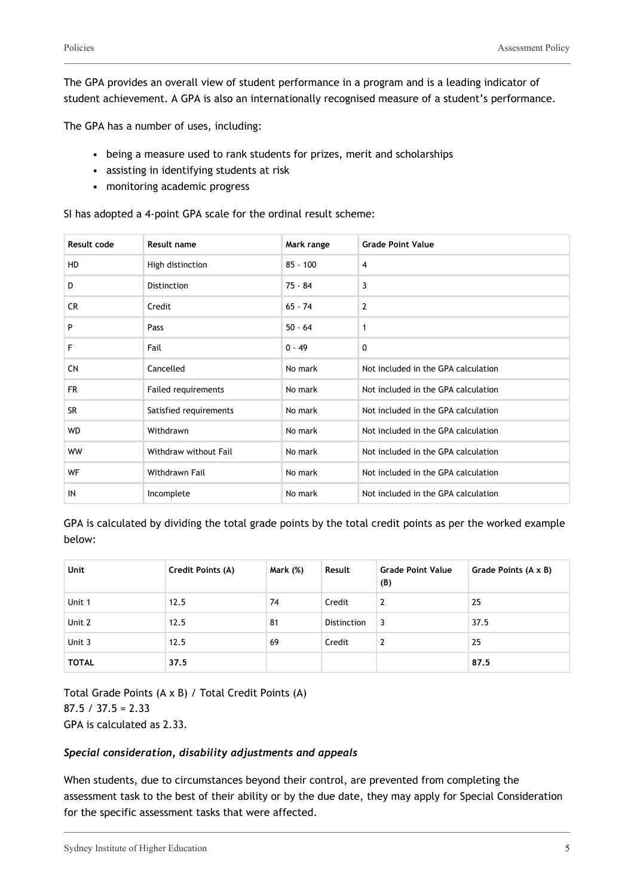The GPA provides an overall view of student performance in a program and is a leading indicator of student achievement. A GPA is also an internationally recognised measure of a student's performance.

The GPA has a number of uses, including:

- being a measure used to rank students for prizes, merit and scholarships
- assisting in identifying students at risk
- monitoring academic progress

SI has adopted a 4-point GPA scale for the ordinal result scheme:

| Result code | <b>Result name</b>         | Mark range | <b>Grade Point Value</b>            |
|-------------|----------------------------|------------|-------------------------------------|
| <b>HD</b>   | High distinction           | $85 - 100$ | $\overline{4}$                      |
| D           | Distinction                | $75 - 84$  | 3                                   |
| CR.         | Credit                     | $65 - 74$  | $\overline{2}$                      |
| P           | Pass                       | $50 - 64$  | $\mathbf{1}$                        |
| F           | Fail                       | $0 - 49$   | 0                                   |
| <b>CN</b>   | Cancelled                  | No mark    | Not included in the GPA calculation |
| <b>FR</b>   | <b>Failed requirements</b> | No mark    | Not included in the GPA calculation |
| <b>SR</b>   | Satisfied requirements     | No mark    | Not included in the GPA calculation |
| <b>WD</b>   | Withdrawn                  | No mark    | Not included in the GPA calculation |
| <b>WW</b>   | Withdraw without Fail      | No mark    | Not included in the GPA calculation |
| WF          | Withdrawn Fail             | No mark    | Not included in the GPA calculation |
| IN          | Incomplete                 | No mark    | Not included in the GPA calculation |

GPA is calculated by dividing the total grade points by the total credit points as per the worked example below:

| <b>Unit</b>  | <b>Credit Points (A)</b> | <b>Mark (%)</b> | Result             | <b>Grade Point Value</b><br>(B) | Grade Points (A x B) |
|--------------|--------------------------|-----------------|--------------------|---------------------------------|----------------------|
| Unit 1       | 12.5                     | 74              | Credit             | 2                               | 25                   |
| Unit 2       | 12.5                     | 81              | <b>Distinction</b> | 3                               | 37.5                 |
| Unit 3       | 12.5                     | 69              | Credit             | 2                               | 25                   |
| <b>TOTAL</b> | 37.5                     |                 |                    |                                 | 87.5                 |

Total Grade Points (A x B) / Total Credit Points (A) 87.5 / 37.5 = 2.33 GPA is calculated as 2.33.

#### *Special consideration, disability adjustments and appeals*

When students, due to circumstances beyond their control, are prevented from completing the assessment task to the best of their ability or by the due date, they may apply for Special Consideration for the specific assessment tasks that were affected.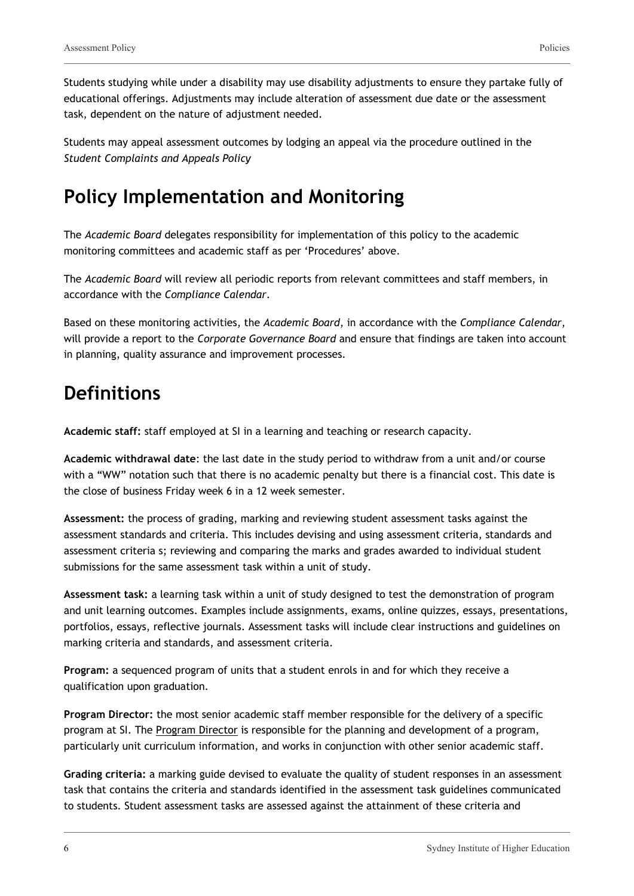Students studying while under a disability may use disability adjustments to ensure they partake fully of educational offerings. Adjustments may include alteration of assessment due date or the assessment task, dependent on the nature of adjustment needed.

Students may appeal assessment outcomes by lodging an appeal via the procedure outlined in the *Student Complaints and Appeals Policy*

### **Policy Implementation and Monitoring**

The *Academic Board* delegates responsibility for implementation of this policy to the academic monitoring committees and academic staff as per 'Procedures' above.

The *Academic Board* will review all periodic reports from relevant committees and staff members, in accordance with the *Compliance Calendar*.

Based on these monitoring activities, the *Academic Board*, in accordance with the *Compliance Calendar*, will provide a report to the *Corporate Governance Board* and ensure that findings are taken into account in planning, quality assurance and improvement processes.

### **Definitions**

**Academic staff:** staff employed at SI in a learning and teaching or research capacity.

**Academic withdrawal date**: the last date in the study period to withdraw from a unit and/or course with a "WW" notation such that there is no academic penalty but there is a financial cost. This date is the close of business Friday week 6 in a 12 week semester.

**Assessment:** the process of grading, marking and reviewing student assessment tasks against the assessment standards and criteria. This includes devising and using assessment criteria, standards and assessment criteria s; reviewing and comparing the marks and grades awarded to individual student submissions for the same assessment task within a unit of study.

**Assessment task:** a learning task within a unit of study designed to test the demonstration of program and unit learning outcomes. Examples include assignments, exams, online quizzes, essays, presentations, portfolios, essays, reflective journals. Assessment tasks will include clear instructions and guidelines on marking criteria and standards, and assessment criteria.

**Program:** a sequenced program of units that a student enrols in and for which they receive a qualification upon graduation.

**Program Director:** the most senior academic staff member responsible for the delivery of a specific program at SI. The Program Director is responsible for the planning and development of a program, particularly unit curriculum information, and works in conjunction with other senior academic staff.

**Grading criteria:** a marking guide devised to evaluate the quality of student responses in an assessment task that contains the criteria and standards identified in the assessment task guidelines communicated to students. Student assessment tasks are assessed against the attainment of these criteria and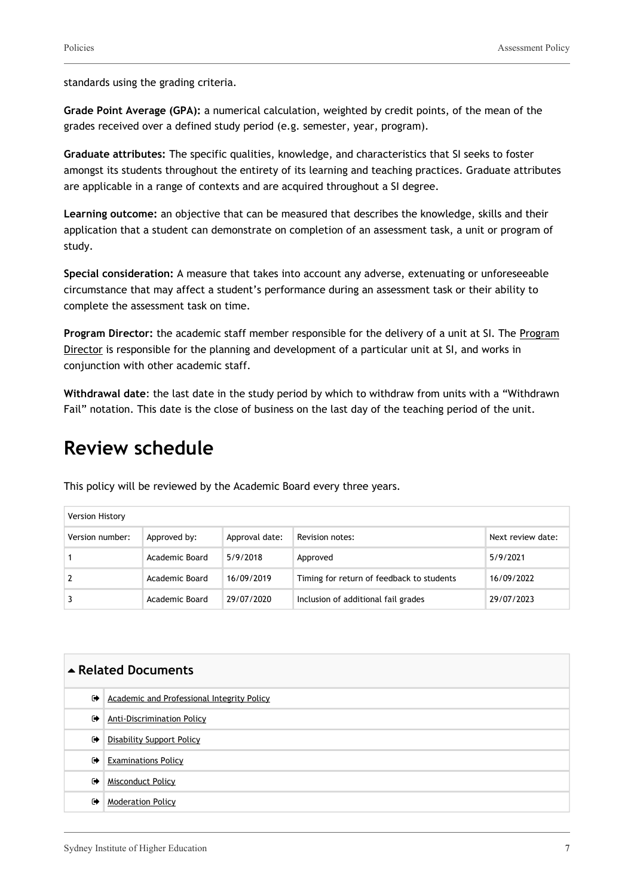standards using the grading criteria.

**Grade Point Average (GPA):** a numerical calculation, weighted by credit points, of the mean of the grades received over a defined study period (e.g. semester, year, program).

**Graduate attributes:** The specific qualities, knowledge, and characteristics that SI seeks to foster amongst its students throughout the entirety of its learning and teaching practices. Graduate attributes are applicable in a range of contexts and are acquired throughout a SI degree.

**Learning outcome:** an objective that can be measured that describes the knowledge, skills and their application that a student can demonstrate on completion of an assessment task, a unit or program of study.

**Special consideration:** A measure that takes into account any adverse, extenuating or unforeseeable circumstance that may affect a student's performance during an assessment task or their ability to complete the assessment task on time.

**Program Director:** the academic staff member responsible for the delivery of a unit at SI. The Program Director is responsible for the planning and development of a particular unit at SI, and works in conjunction with other academic staff.

**Withdrawal date**: the last date in the study period by which to withdraw from units with a "Withdrawn Fail" notation. This date is the close of business on the last day of the teaching period of the unit.

### **Review schedule**

Version History Version number: Approved by: Approval date: Revision notes: Next review date: Next review date: 1 Academic Board 5/9/2018 Approved 5/9/2021

2 Academic Board 16/09/2019 Timing for return of feedback to students 16/09/2022 3 Academic Board 29/07/2020 Inclusion of additional fail grades 29/07/2023

This policy will be reviewed by the Academic Board every three years.

| ▲ Related Documents  |                                                   |  |
|----------------------|---------------------------------------------------|--|
| $\ddot{\phantom{1}}$ | <b>Academic and Professional Integrity Policy</b> |  |
| $\ddot{\phantom{1}}$ | <b>Anti-Discrimination Policy</b>                 |  |
| $\ddot{\phantom{1}}$ | <b>Disability Support Policy</b>                  |  |
| $\ddot{\phantom{1}}$ | <b>Examinations Policy</b>                        |  |
| $\ddot{\phantom{1}}$ | <b>Misconduct Policy</b>                          |  |
| $\ddot{\phantom{1}}$ | <b>Moderation Policy</b>                          |  |